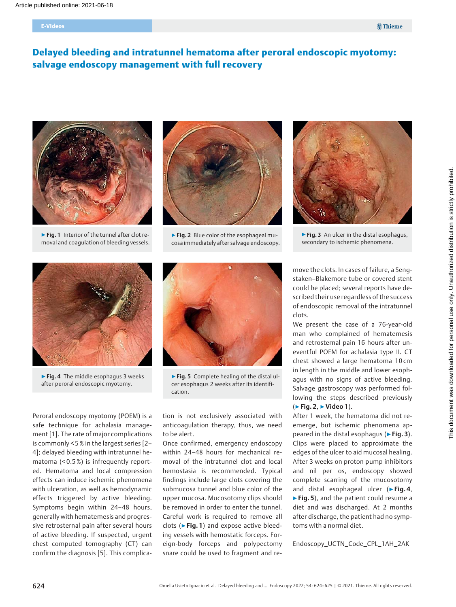#### E-Videos

# Delayed bleeding and intratunnel hematoma after peroral endoscopic myotomy: salvage endoscopy management with full recovery



▶ Fig. 1 Interior of the tunnel after clot removal and coagulation of bleeding vessels.



▶ Fig. 2 Blue color of the esophageal mucosa immediately after salvage endoscopy.



▶ Fig. 3 An ulcer in the distal esophagus, secondary to ischemic phenomena.



▶ Fig. 4 The middle esophagus 3 weeks after peroral endoscopic myotomy.



▶ Fig. 5 Complete healing of the distal ulcer esophagus 2 weeks after its identification.

Peroral endoscopy myotomy (POEM) is a safe technique for achalasia management [1]. The rate of major complications is commonly < 5 % in the largest series [2– 4]; delayed bleeding with intratunnel hematoma (< 0.5 %) is infrequently reported. Hematoma and local compression effects can induce ischemic phenomena with ulceration, as well as hemodynamic effects triggered by active bleeding. Symptoms begin within 24–48 hours, generally with hematemesis and progressive retrosternal pain after several hours of active bleeding. If suspected, urgent chest computed tomography (CT) can confirm the diagnosis [5]. This complication is not exclusively associated with anticoagulation therapy, thus, we need to be alert.

Once confirmed, emergency endoscopy within 24–48 hours for mechanical removal of the intratunnel clot and local hemostasia is recommended. Typical findings include large clots covering the submucosa tunnel and blue color of the upper mucosa. Mucosotomy clips should be removed in order to enter the tunnel. Careful work is required to remove all clots ( $\blacktriangleright$  Fig. 1) and expose active bleeding vessels with hemostatic forceps. Foreign-body forceps and polypectomy snare could be used to fragment and remove the clots. In cases of failure, a Sengstaken–Blakemore tube or covered stent could be placed; several reports have described their use regardless of the success of endoscopic removal of the intratunnel clots.

We present the case of a 76-year-old man who complained of hematemesis and retrosternal pain 16 hours after uneventful POEM for achalasia type II. CT chest showed a large hematoma 10 cm in length in the middle and lower esophagus with no signs of active bleeding. Salvage gastroscopy was performed following the steps described previously (▶Fig. 2, ▶Video 1).

After 1 week, the hematoma did not reemerge, but ischemic phenomena appeared in the distal esophagus (► Fig. 3). Clips were placed to approximate the edges of the ulcer to aid mucosal healing. After 3 weeks on proton pump inhibitors and nil per os, endoscopy showed complete scarring of the mucosotomy and distal esophageal ulcer ( $\triangleright$  Fig. 4, ▶ Fig. 5), and the patient could resume a diet and was discharged. At 2 months after discharge, the patient had no symptoms with a normal diet.

Endoscopy\_UCTN\_Code\_CPL\_1AH\_2AK